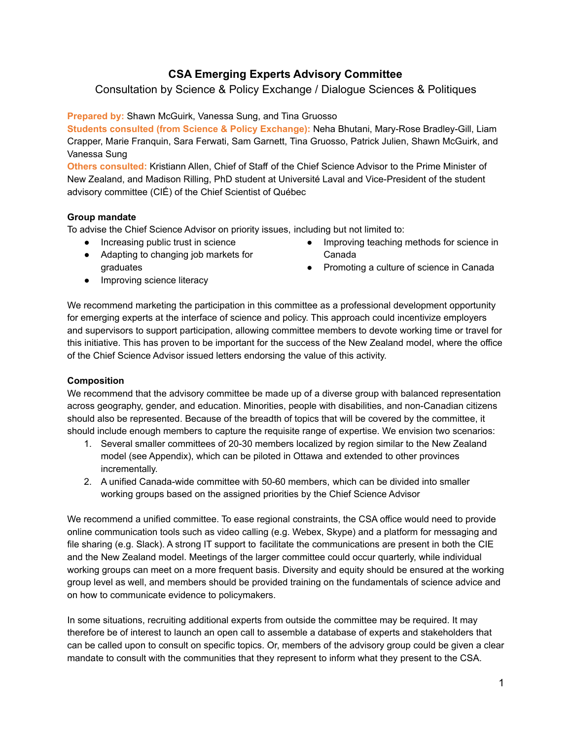# **CSA Emerging Experts Advisory Committee**

# Consultation by Science & Policy Exchange / Dialogue Sciences & Politiques

### **Prepared by: Shawn McGuirk, Vanessa Sung, and Tina Gruosso**

**Students consulted (from Science & Policy Exchange):** Neha Bhutani, Mary-Rose Bradley-Gill, Liam Crapper, Marie Franquin, Sara Ferwati, Sam Garnett, Tina Gruosso, Patrick Julien, Shawn McGuirk, and Vanessa Sung

**Others consulted:** Kristiann Allen, Chief of Staff of the Chief Science Advisor to the Prime Minister of New Zealand, and Madison Rilling, PhD student at Université Laval and Vice-President of the student advisory committee (CIÉ) of the Chief Scientist of Québec

### **Group mandate**

To advise the Chief Science Advisor on priority issues, including but not limited to:

- Increasing public trust in science
- Adapting to changing job markets for graduates
- Improving teaching methods for science in Canada
- Promoting a culture of science in Canada

• Improving science literacy

We recommend marketing the participation in this committee as a professional development opportunity for emerging experts at the interface of science and policy. This approach could incentivize employers and supervisors to support participation, allowing committee members to devote working time or travel for this initiative. This has proven to be important for the success of the New Zealand model, where the office of the Chief Science Advisor issued letters endorsing the value of this activity.

### **Composition**

We recommend that the advisory committee be made up of a diverse group with balanced representation across geography, gender, and education. Minorities, people with disabilities, and non-Canadian citizens should also be represented. Because of the breadth of topics that will be covered by the committee, it should include enough members to capture the requisite range of expertise. We envision two scenarios:

- 1. Several smaller committees of 20-30 members localized by region similar to the New Zealand model (see Appendix), which can be piloted in Ottawa and extended to other provinces incrementally.
- 2. A unified Canada-wide committee with 50-60 members, which can be divided into smaller working groups based on the assigned priorities by the Chief Science Advisor

We recommend a unified committee. To ease regional constraints, the CSA office would need to provide online communication tools such as video calling (e.g. Webex, Skype) and a platform for messaging and file sharing (e.g. Slack). A strong IT support to facilitate the communications are present in both the CIE and the New Zealand model. Meetings of the larger committee could occur quarterly, while individual working groups can meet on a more frequent basis. Diversity and equity should be ensured at the working group level as well, and members should be provided training on the fundamentals of science advice and on how to communicate evidence to policymakers.

In some situations, recruiting additional experts from outside the committee may be required. It may therefore be of interest to launch an open call to assemble a database of experts and stakeholders that can be called upon to consult on specific topics. Or, members of the advisory group could be given a clear mandate to consult with the communities that they represent to inform what they present to the CSA.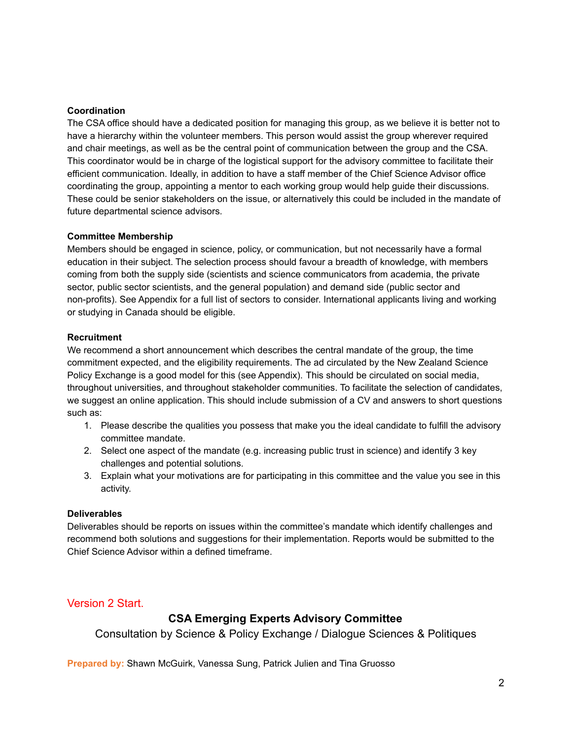#### **Coordination**

The CSA office should have a dedicated position for managing this group, as we believe it is better not to have a hierarchy within the volunteer members. This person would assist the group wherever required and chair meetings, as well as be the central point of communication between the group and the CSA. This coordinator would be in charge of the logistical support for the advisory committee to facilitate their efficient communication. Ideally, in addition to have a staff member of the Chief Science Advisor office coordinating the group, appointing a mentor to each working group would help guide their discussions. These could be senior stakeholders on the issue, or alternatively this could be included in the mandate of future departmental science advisors.

#### **Committee Membership**

Members should be engaged in science, policy, or communication, but not necessarily have a formal education in their subject. The selection process should favour a breadth of knowledge, with members coming from both the supply side (scientists and science communicators from academia, the private sector, public sector scientists, and the general population) and demand side (public sector and non-profits). See Appendix for a full list of sectors to consider. International applicants living and working or studying in Canada should be eligible.

#### **Recruitment**

We recommend a short announcement which describes the central mandate of the group, the time commitment expected, and the eligibility requirements. The ad circulated by the New Zealand Science Policy Exchange is a good model for this (see Appendix). This should be circulated on social media, throughout universities, and throughout stakeholder communities. To facilitate the selection of candidates, we suggest an online application. This should include submission of a CV and answers to short questions such as:

- 1. Please describe the qualities you possess that make you the ideal candidate to fulfill the advisory committee mandate.
- 2. Select one aspect of the mandate (e.g. increasing public trust in science) and identify 3 key challenges and potential solutions.
- 3. Explain what your motivations are for participating in this committee and the value you see in this activity.

#### **Deliverables**

Deliverables should be reports on issues within the committee's mandate which identify challenges and recommend both solutions and suggestions for their implementation. Reports would be submitted to the Chief Science Advisor within a defined timeframe.

### Version 2 Start.

# **CSA Emerging Experts Advisory Committee**

Consultation by Science & Policy Exchange / Dialogue Sciences & Politiques

**Prepared by:** Shawn McGuirk, Vanessa Sung, Patrick Julien and Tina Gruosso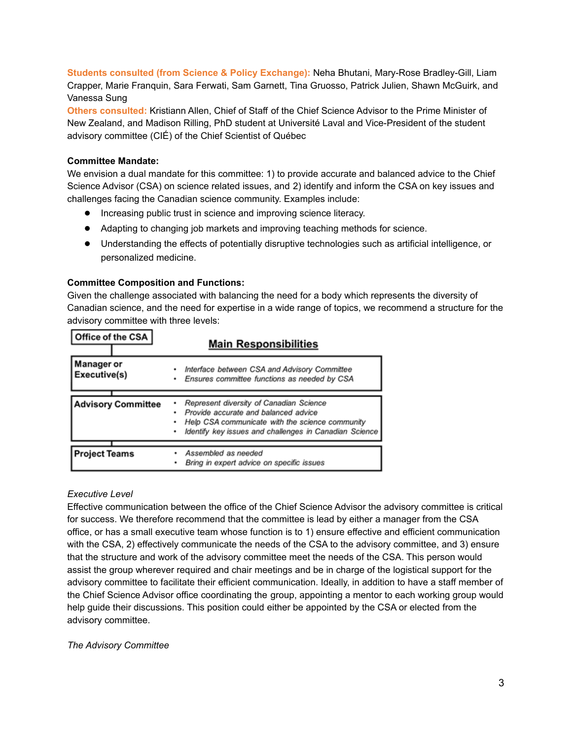**Students consulted (from Science & Policy Exchange):** Neha Bhutani, Mary-Rose Bradley-Gill, Liam Crapper, Marie Franquin, Sara Ferwati, Sam Garnett, Tina Gruosso, Patrick Julien, Shawn McGuirk, and Vanessa Sung

**Others consulted:** Kristiann Allen, Chief of Staff of the Chief Science Advisor to the Prime Minister of New Zealand, and Madison Rilling, PhD student at Université Laval and Vice-President of the student advisory committee (CIÉ) of the Chief Scientist of Québec

#### **Committee Mandate:**

We envision a dual mandate for this committee: 1) to provide accurate and balanced advice to the Chief Science Advisor (CSA) on science related issues, and 2) identify and inform the CSA on key issues and challenges facing the Canadian science community. Examples include:

- Increasing public trust in science and improving science literacy.
- Adapting to changing job markets and improving teaching methods for science.
- Understanding the effects of potentially disruptive technologies such as artificial intelligence, or personalized medicine.

#### **Committee Composition and Functions:**

Given the challenge associated with balancing the need for a body which represents the diversity of Canadian science, and the need for expertise in a wide range of topics, we recommend a structure for the advisory committee with three levels:

| Office of the CSA                 | <b>Main Responsibilities</b>                                                                                                                                                                           |
|-----------------------------------|--------------------------------------------------------------------------------------------------------------------------------------------------------------------------------------------------------|
| <b>Manager or</b><br>Executive(s) | Interface between CSA and Advisory Committee<br>٠<br>Ensures committee functions as needed by CSA<br>٠                                                                                                 |
| <b>Advisory Committee</b>         | Represent diversity of Canadian Science<br>Provide accurate and balanced advice<br>٠<br>Help CSA communicate with the science community<br>Identify key issues and challenges in Canadian Science<br>٠ |
| <b>Project Teams</b>              | Assembled as needed<br>٠<br>Bring in expert advice on specific issues                                                                                                                                  |

#### *Executive Level*

Effective communication between the office of the Chief Science Advisor the advisory committee is critical for success. We therefore recommend that the committee is lead by either a manager from the CSA office, or has a small executive team whose function is to 1) ensure effective and efficient communication with the CSA, 2) effectively communicate the needs of the CSA to the advisory committee, and 3) ensure that the structure and work of the advisory committee meet the needs of the CSA. This person would assist the group wherever required and chair meetings and be in charge of the logistical support for the advisory committee to facilitate their efficient communication. Ideally, in addition to have a staff member of the Chief Science Advisor office coordinating the group, appointing a mentor to each working group would help guide their discussions. This position could either be appointed by the CSA or elected from the advisory committee.

#### *The Advisory Committee*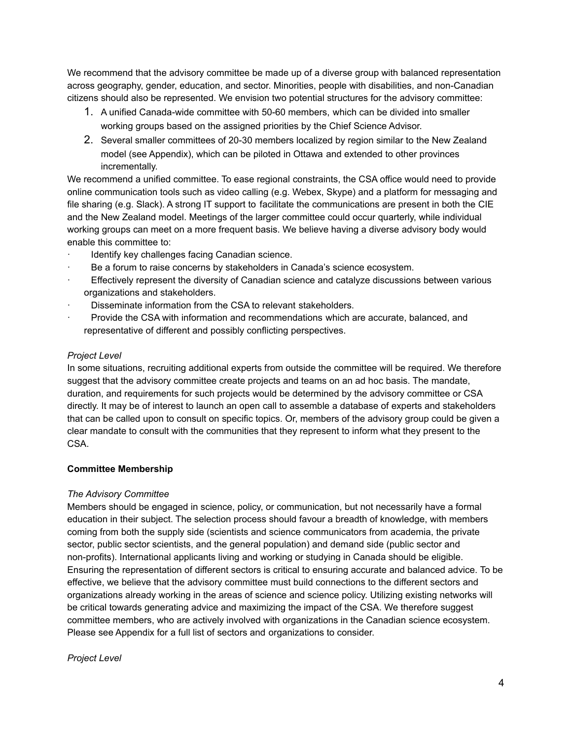We recommend that the advisory committee be made up of a diverse group with balanced representation across geography, gender, education, and sector. Minorities, people with disabilities, and non-Canadian citizens should also be represented. We envision two potential structures for the advisory committee:

- 1. A unified Canada-wide committee with 50-60 members, which can be divided into smaller working groups based on the assigned priorities by the Chief Science Advisor.
- 2. Several smaller committees of 20-30 members localized by region similar to the New Zealand model (see Appendix), which can be piloted in Ottawa and extended to other provinces incrementally.

We recommend a unified committee. To ease regional constraints, the CSA office would need to provide online communication tools such as video calling (e.g. Webex, Skype) and a platform for messaging and file sharing (e.g. Slack). A strong IT support to facilitate the communications are present in both the CIE and the New Zealand model. Meetings of the larger committee could occur quarterly, while individual working groups can meet on a more frequent basis. We believe having a diverse advisory body would enable this committee to:

- Identify key challenges facing Canadian science.
- Be a forum to raise concerns by stakeholders in Canada's science ecosystem.
- Effectively represent the diversity of Canadian science and catalyze discussions between various organizations and stakeholders.
- Disseminate information from the CSA to relevant stakeholders.
- Provide the CSA with information and recommendations which are accurate, balanced, and representative of different and possibly conflicting perspectives.

### *Project Level*

In some situations, recruiting additional experts from outside the committee will be required. We therefore suggest that the advisory committee create projects and teams on an ad hoc basis. The mandate, duration, and requirements for such projects would be determined by the advisory committee or CSA directly. It may be of interest to launch an open call to assemble a database of experts and stakeholders that can be called upon to consult on specific topics. Or, members of the advisory group could be given a clear mandate to consult with the communities that they represent to inform what they present to the CSA.

### **Committee Membership**

### *The Advisory Committee*

Members should be engaged in science, policy, or communication, but not necessarily have a formal education in their subject. The selection process should favour a breadth of knowledge, with members coming from both the supply side (scientists and science communicators from academia, the private sector, public sector scientists, and the general population) and demand side (public sector and non-profits). International applicants living and working or studying in Canada should be eligible. Ensuring the representation of different sectors is critical to ensuring accurate and balanced advice. To be effective, we believe that the advisory committee must build connections to the different sectors and organizations already working in the areas of science and science policy. Utilizing existing networks will be critical towards generating advice and maximizing the impact of the CSA. We therefore suggest committee members, who are actively involved with organizations in the Canadian science ecosystem. Please see Appendix for a full list of sectors and organizations to consider.

### *Project Level*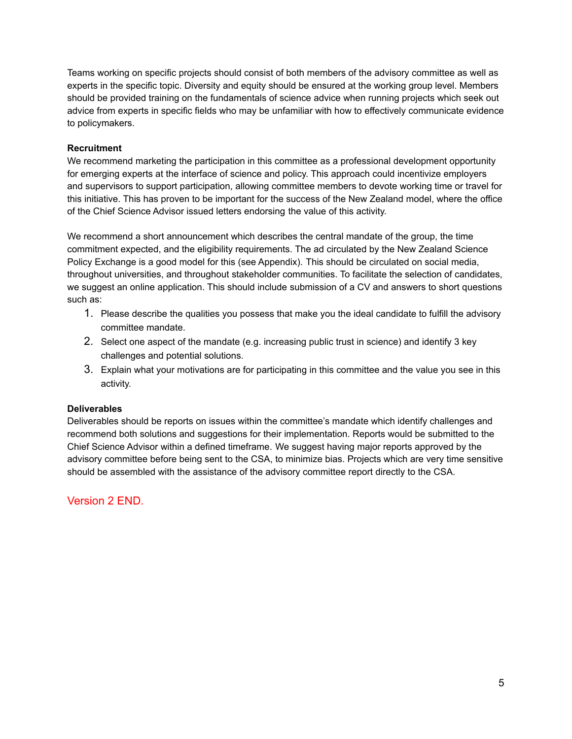Teams working on specific projects should consist of both members of the advisory committee as well as experts in the specific topic. Diversity and equity should be ensured at the working group level. Members should be provided training on the fundamentals of science advice when running projects which seek out advice from experts in specific fields who may be unfamiliar with how to effectively communicate evidence to policymakers.

### **Recruitment**

We recommend marketing the participation in this committee as a professional development opportunity for emerging experts at the interface of science and policy. This approach could incentivize employers and supervisors to support participation, allowing committee members to devote working time or travel for this initiative. This has proven to be important for the success of the New Zealand model, where the office of the Chief Science Advisor issued letters endorsing the value of this activity.

We recommend a short announcement which describes the central mandate of the group, the time commitment expected, and the eligibility requirements. The ad circulated by the New Zealand Science Policy Exchange is a good model for this (see Appendix). This should be circulated on social media, throughout universities, and throughout stakeholder communities. To facilitate the selection of candidates, we suggest an online application. This should include submission of a CV and answers to short questions such as:

- 1. Please describe the qualities you possess that make you the ideal candidate to fulfill the advisory committee mandate.
- 2. Select one aspect of the mandate (e.g. increasing public trust in science) and identify 3 key challenges and potential solutions.
- 3. Explain what your motivations are for participating in this committee and the value you see in this activity.

### **Deliverables**

Deliverables should be reports on issues within the committee's mandate which identify challenges and recommend both solutions and suggestions for their implementation. Reports would be submitted to the Chief Science Advisor within a defined timeframe. We suggest having major reports approved by the advisory committee before being sent to the CSA, to minimize bias. Projects which are very time sensitive should be assembled with the assistance of the advisory committee report directly to the CSA.

Version 2 END.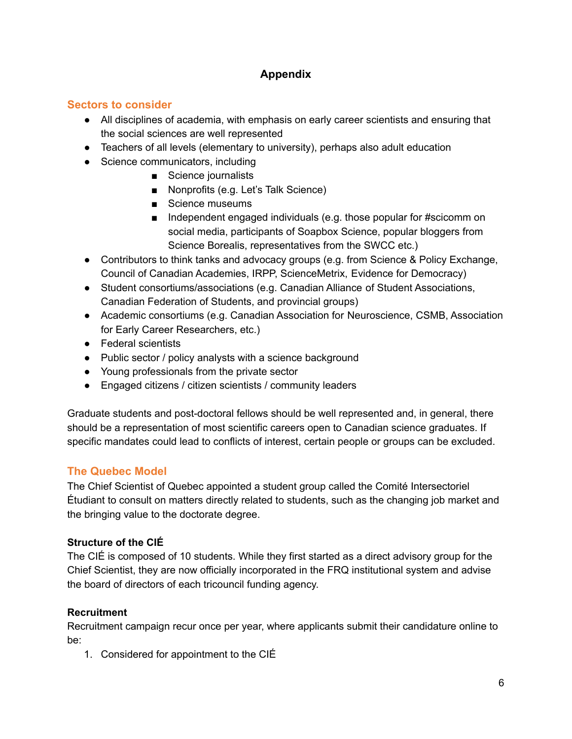# **Appendix**

# **Sectors to consider**

- All disciplines of academia, with emphasis on early career scientists and ensuring that the social sciences are well represented
- Teachers of all levels (elementary to university), perhaps also adult education
- Science communicators, including
	- Science journalists
	- Nonprofits (e.g. Let's Talk Science)
	- Science museums
	- Independent engaged individuals (e.g. those popular for #scicomm on social media, participants of Soapbox Science, popular bloggers from Science Borealis, representatives from the SWCC etc.)
- Contributors to think tanks and advocacy groups (e.g. from Science & Policy Exchange, Council of Canadian Academies, IRPP, ScienceMetrix, Evidence for Democracy)
- Student consortiums/associations (e.g. Canadian Alliance of Student Associations, Canadian Federation of Students, and provincial groups)
- Academic consortiums (e.g. Canadian Association for Neuroscience, CSMB, Association for Early Career Researchers, etc.)
- Federal scientists
- Public sector / policy analysts with a science background
- Young professionals from the private sector
- Engaged citizens / citizen scientists / community leaders

Graduate students and post-doctoral fellows should be well represented and, in general, there should be a representation of most scientific careers open to Canadian science graduates. If specific mandates could lead to conflicts of interest, certain people or groups can be excluded.

# **The Quebec Model**

The Chief Scientist of Quebec appointed a student group called the Comité Intersectoriel Étudiant to consult on matters directly related to students, such as the changing job market and the bringing value to the doctorate degree.

# **Structure of the CIÉ**

The CIÉ is composed of 10 students. While they first started as a direct advisory group for the Chief Scientist, they are now officially incorporated in the FRQ institutional system and advise the board of directors of each tricouncil funding agency.

# **Recruitment**

Recruitment campaign recur once per year, where applicants submit their candidature online to be:

1. Considered for appointment to the CIÉ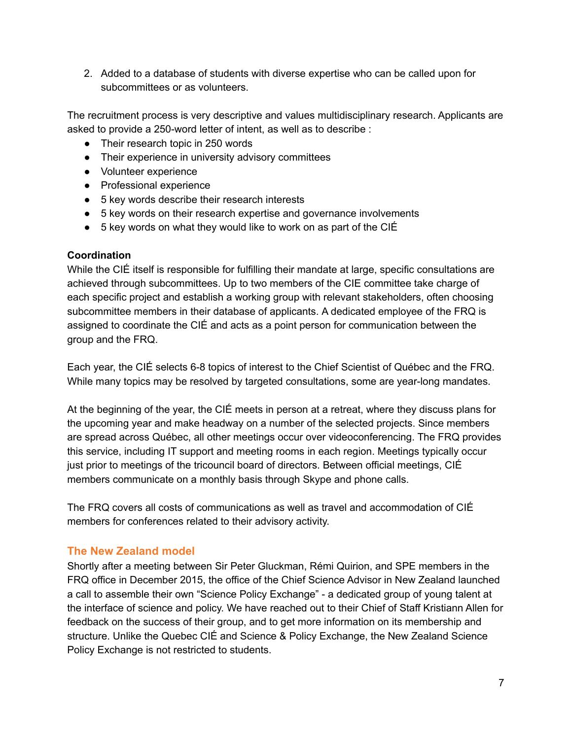2. Added to a database of students with diverse expertise who can be called upon for subcommittees or as volunteers.

The recruitment process is very descriptive and values multidisciplinary research. Applicants are asked to provide a 250-word letter of intent, as well as to describe :

- Their research topic in 250 words
- Their experience in university advisory committees
- Volunteer experience
- Professional experience
- 5 key words describe their research interests
- 5 key words on their research expertise and governance involvements
- $\bullet$  5 key words on what they would like to work on as part of the CIÉ

# **Coordination**

While the CIÉ itself is responsible for fulfilling their mandate at large, specific consultations are achieved through subcommittees. Up to two members of the CIE committee take charge of each specific project and establish a working group with relevant stakeholders, often choosing subcommittee members in their database of applicants. A dedicated employee of the FRQ is assigned to coordinate the CIÉ and acts as a point person for communication between the group and the FRQ.

Each year, the CIÉ selects 6-8 topics of interest to the Chief Scientist of Québec and the FRQ. While many topics may be resolved by targeted consultations, some are year-long mandates.

At the beginning of the year, the CIÉ meets in person at a retreat, where they discuss plans for the upcoming year and make headway on a number of the selected projects. Since members are spread across Québec, all other meetings occur over videoconferencing. The FRQ provides this service, including IT support and meeting rooms in each region. Meetings typically occur just prior to meetings of the tricouncil board of directors. Between official meetings, CIÉ members communicate on a monthly basis through Skype and phone calls.

The FRQ covers all costs of communications as well as travel and accommodation of CIÉ members for conferences related to their advisory activity.

# **The New Zealand model**

Shortly after a meeting between Sir Peter Gluckman, Rémi Quirion, and SPE members in the FRQ office in December 2015, the office of the Chief Science Advisor in New Zealand launched a call to assemble their own "Science Policy Exchange" - a dedicated group of young talent at the interface of science and policy. We have reached out to their Chief of Staff Kristiann Allen for feedback on the success of their group, and to get more information on its membership and structure. Unlike the Quebec CIÉ and Science & Policy Exchange, the New Zealand Science Policy Exchange is not restricted to students.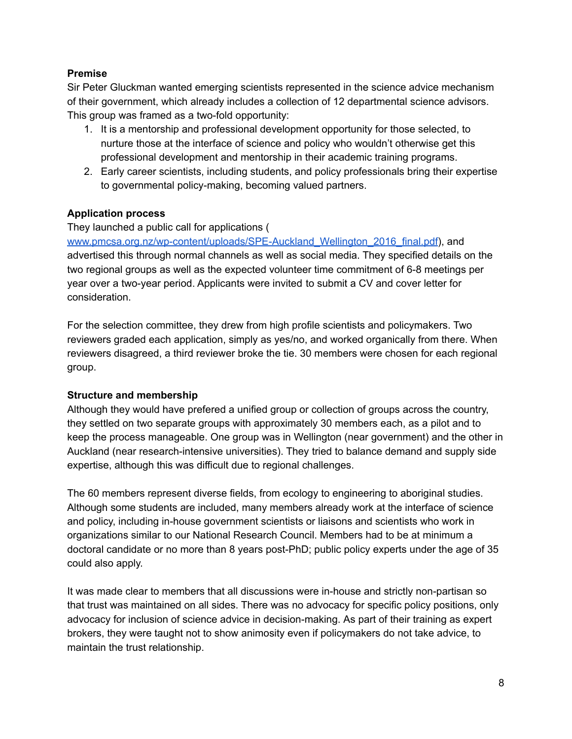## **Premise**

Sir Peter Gluckman wanted emerging scientists represented in the science advice mechanism of their government, which already includes a collection of 12 departmental science advisors. This group was framed as a two-fold opportunity:

- 1. It is a mentorship and professional development opportunity for those selected, to nurture those at the interface of science and policy who wouldn't otherwise get this professional development and mentorship in their academic training programs.
- 2. Early career scientists, including students, and policy professionals bring their expertise to governmental policy-making, becoming valued partners.

### **Application process**

### They launched a public call for applications (

[www.pmcsa.org.nz/wp-content/uploads/SPE-Auckland\\_Wellington\\_2016\\_final.pdf\)](http://www.pmcsa.org.nz/wp-content/uploads/SPE-Auckland_Wellington_2016_final.pdf), and advertised this through normal channels as well as social media. They specified details on the two regional groups as well as the expected volunteer time commitment of 6-8 meetings per year over a two-year period. Applicants were invited to submit a CV and cover letter for consideration.

For the selection committee, they drew from high profile scientists and policymakers. Two reviewers graded each application, simply as yes/no, and worked organically from there. When reviewers disagreed, a third reviewer broke the tie. 30 members were chosen for each regional group.

### **Structure and membership**

Although they would have prefered a unified group or collection of groups across the country, they settled on two separate groups with approximately 30 members each, as a pilot and to keep the process manageable. One group was in Wellington (near government) and the other in Auckland (near research-intensive universities). They tried to balance demand and supply side expertise, although this was difficult due to regional challenges.

The 60 members represent diverse fields, from ecology to engineering to aboriginal studies. Although some students are included, many members already work at the interface of science and policy, including in-house government scientists or liaisons and scientists who work in organizations similar to our National Research Council. Members had to be at minimum a doctoral candidate or no more than 8 years post-PhD; public policy experts under the age of 35 could also apply.

It was made clear to members that all discussions were in-house and strictly non-partisan so that trust was maintained on all sides. There was no advocacy for specific policy positions, only advocacy for inclusion of science advice in decision-making. As part of their training as expert brokers, they were taught not to show animosity even if policymakers do not take advice, to maintain the trust relationship.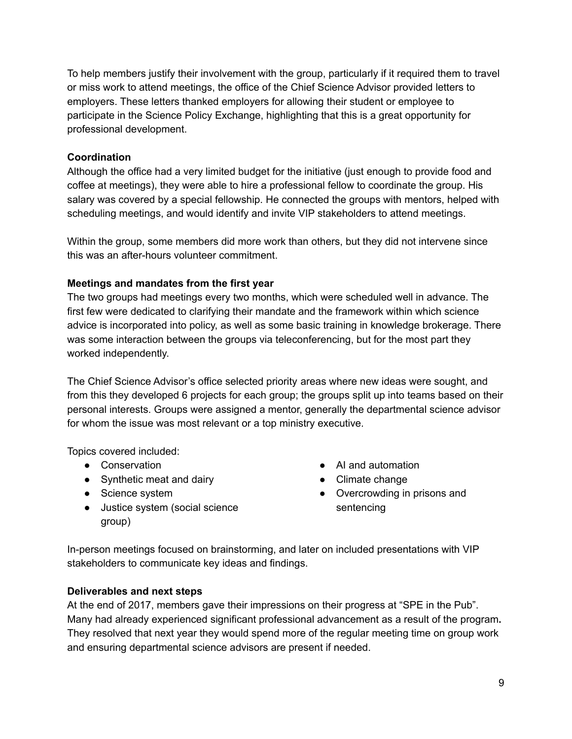To help members justify their involvement with the group, particularly if it required them to travel or miss work to attend meetings, the office of the Chief Science Advisor provided letters to employers. These letters thanked employers for allowing their student or employee to participate in the Science Policy Exchange, highlighting that this is a great opportunity for professional development.

## **Coordination**

Although the office had a very limited budget for the initiative (just enough to provide food and coffee at meetings), they were able to hire a professional fellow to coordinate the group. His salary was covered by a special fellowship. He connected the groups with mentors, helped with scheduling meetings, and would identify and invite VIP stakeholders to attend meetings.

Within the group, some members did more work than others, but they did not intervene since this was an after-hours volunteer commitment.

### **Meetings and mandates from the first year**

The two groups had meetings every two months, which were scheduled well in advance. The first few were dedicated to clarifying their mandate and the framework within which science advice is incorporated into policy, as well as some basic training in knowledge brokerage. There was some interaction between the groups via teleconferencing, but for the most part they worked independently.

The Chief Science Advisor's office selected priority areas where new ideas were sought, and from this they developed 6 projects for each group; the groups split up into teams based on their personal interests. Groups were assigned a mentor, generally the departmental science advisor for whom the issue was most relevant or a top ministry executive.

Topics covered included:

- Conservation
- Synthetic meat and dairy
- Science system
- Justice system (social science group)
- AI and automation
- Climate change
- Overcrowding in prisons and sentencing

In-person meetings focused on brainstorming, and later on included presentations with VIP stakeholders to communicate key ideas and findings.

### **Deliverables and next steps**

At the end of 2017, members gave their impressions on their progress at "SPE in the Pub". Many had already experienced significant professional advancement as a result of the program**.** They resolved that next year they would spend more of the regular meeting time on group work and ensuring departmental science advisors are present if needed.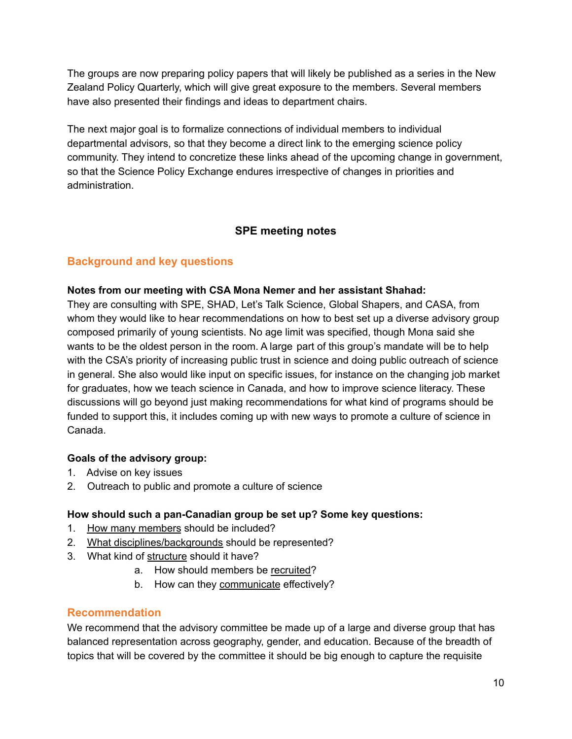The groups are now preparing policy papers that will likely be published as a series in the New Zealand Policy Quarterly, which will give great exposure to the members. Several members have also presented their findings and ideas to department chairs.

The next major goal is to formalize connections of individual members to individual departmental advisors, so that they become a direct link to the emerging science policy community. They intend to concretize these links ahead of the upcoming change in government, so that the Science Policy Exchange endures irrespective of changes in priorities and administration.

# **SPE meeting notes**

# **Background and key questions**

### **Notes from our meeting with CSA Mona Nemer and her assistant Shahad:**

They are consulting with SPE, SHAD, Let's Talk Science, Global Shapers, and CASA, from whom they would like to hear recommendations on how to best set up a diverse advisory group composed primarily of young scientists. No age limit was specified, though Mona said she wants to be the oldest person in the room. A large part of this group's mandate will be to help with the CSA's priority of increasing public trust in science and doing public outreach of science in general. She also would like input on specific issues, for instance on the changing job market for graduates, how we teach science in Canada, and how to improve science literacy. These discussions will go beyond just making recommendations for what kind of programs should be funded to support this, it includes coming up with new ways to promote a culture of science in Canada.

# **Goals of the advisory group:**

- 1. Advise on key issues
- 2. Outreach to public and promote a culture of science

# **How should such a pan-Canadian group be set up? Some key questions:**

- 1. How many members should be included?
- 2. What disciplines/backgrounds should be represented?
- 3. What kind of structure should it have?
	- a. How should members be recruited?
	- b. How can they communicate effectively?

# **Recommendation**

We recommend that the advisory committee be made up of a large and diverse group that has balanced representation across geography, gender, and education. Because of the breadth of topics that will be covered by the committee it should be big enough to capture the requisite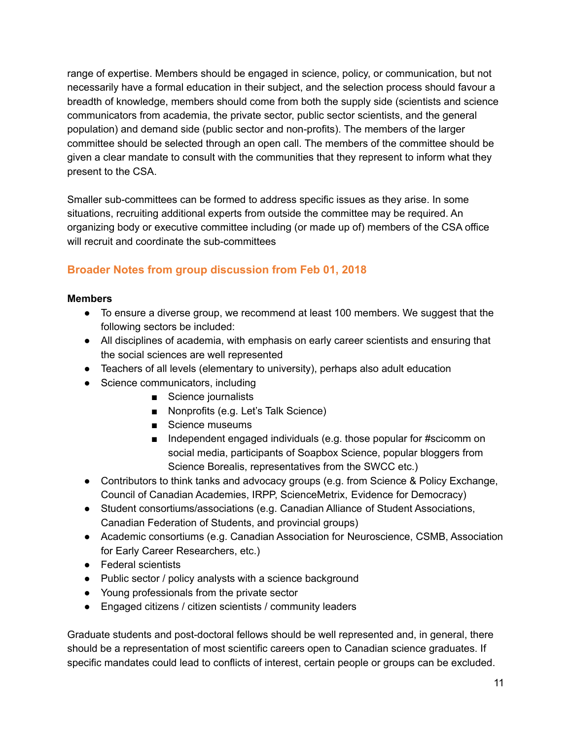range of expertise. Members should be engaged in science, policy, or communication, but not necessarily have a formal education in their subject, and the selection process should favour a breadth of knowledge, members should come from both the supply side (scientists and science communicators from academia, the private sector, public sector scientists, and the general population) and demand side (public sector and non-profits). The members of the larger committee should be selected through an open call. The members of the committee should be given a clear mandate to consult with the communities that they represent to inform what they present to the CSA.

Smaller sub-committees can be formed to address specific issues as they arise. In some situations, recruiting additional experts from outside the committee may be required. An organizing body or executive committee including (or made up of) members of the CSA office will recruit and coordinate the sub-committees

# **Broader Notes from group discussion from Feb 01, 2018**

### **Members**

- To ensure a diverse group, we recommend at least 100 members. We suggest that the following sectors be included:
- All disciplines of academia, with emphasis on early career scientists and ensuring that the social sciences are well represented
- Teachers of all levels (elementary to university), perhaps also adult education
- Science communicators, including
	- Science journalists
	- Nonprofits (e.g. Let's Talk Science)
	- Science museums
	- Independent engaged individuals (e.g. those popular for #scicomm on social media, participants of Soapbox Science, popular bloggers from Science Borealis, representatives from the SWCC etc.)
- Contributors to think tanks and advocacy groups (e.g. from Science & Policy Exchange, Council of Canadian Academies, IRPP, ScienceMetrix, Evidence for Democracy)
- Student consortiums/associations (e.g. Canadian Alliance of Student Associations, Canadian Federation of Students, and provincial groups)
- Academic consortiums (e.g. Canadian Association for Neuroscience, CSMB, Association for Early Career Researchers, etc.)
- Federal scientists
- Public sector / policy analysts with a science background
- Young professionals from the private sector
- Engaged citizens / citizen scientists / community leaders

Graduate students and post-doctoral fellows should be well represented and, in general, there should be a representation of most scientific careers open to Canadian science graduates. If specific mandates could lead to conflicts of interest, certain people or groups can be excluded.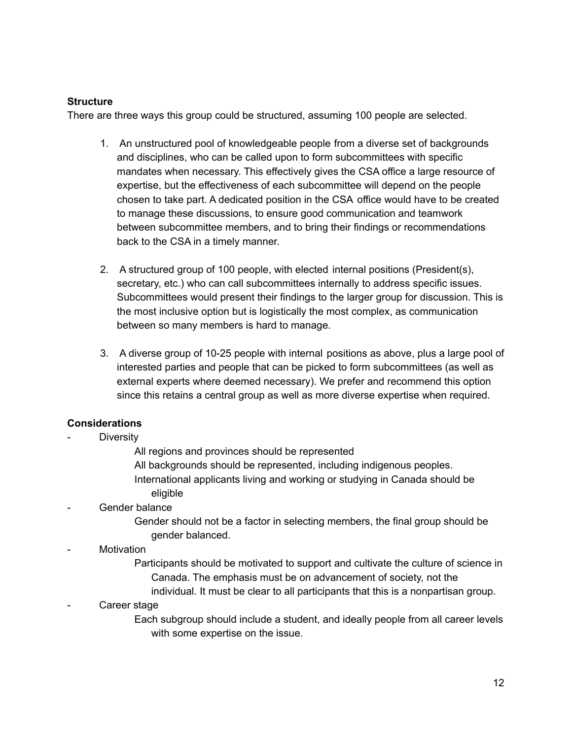### **Structure**

There are three ways this group could be structured, assuming 100 people are selected.

- 1. An unstructured pool of knowledgeable people from a diverse set of backgrounds and disciplines, who can be called upon to form subcommittees with specific mandates when necessary. This effectively gives the CSA office a large resource of expertise, but the effectiveness of each subcommittee will depend on the people chosen to take part. A dedicated position in the CSA office would have to be created to manage these discussions, to ensure good communication and teamwork between subcommittee members, and to bring their findings or recommendations back to the CSA in a timely manner.
- 2. A structured group of 100 people, with elected internal positions (President(s), secretary, etc.) who can call subcommittees internally to address specific issues. Subcommittees would present their findings to the larger group for discussion. This is the most inclusive option but is logistically the most complex, as communication between so many members is hard to manage.
- 3. A diverse group of 10-25 people with internal positions as above, plus a large pool of interested parties and people that can be picked to form subcommittees (as well as external experts where deemed necessary). We prefer and recommend this option since this retains a central group as well as more diverse expertise when required.

# **Considerations**

- **Diversity** 
	- All regions and provinces should be represented
	- All backgrounds should be represented, including indigenous peoples.
	- International applicants living and working or studying in Canada should be eligible
- Gender balance
	- Gender should not be a factor in selecting members, the final group should be gender balanced.
- **Motivation**

Participants should be motivated to support and cultivate the culture of science in Canada. The emphasis must be on advancement of society, not the individual. It must be clear to all participants that this is a nonpartisan group.

Career stage

Each subgroup should include a student, and ideally people from all career levels with some expertise on the issue.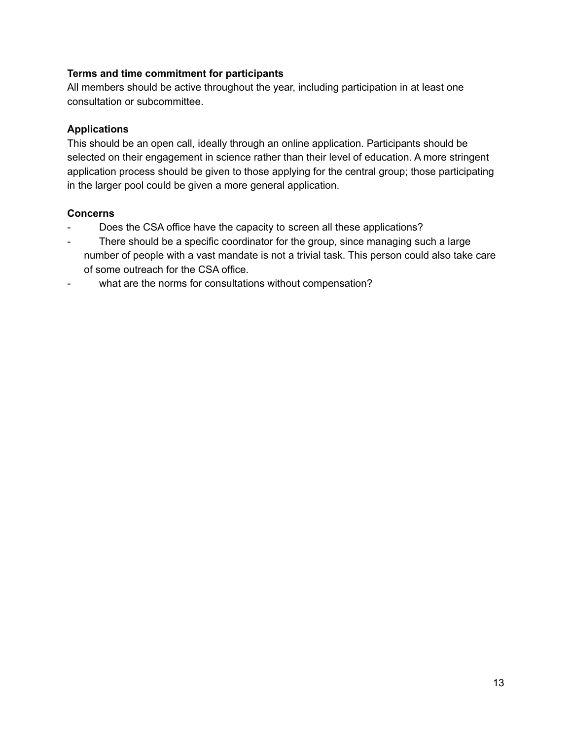# **Terms and time commitment for participants**

All members should be active throughout the year, including participation in at least one consultation or subcommittee.

## **Applications**

This should be an open call, ideally through an online application. Participants should be selected on their engagement in science rather than their level of education. A more stringent application process should be given to those applying for the central group; those participating in the larger pool could be given a more general application.

### **Concerns**

- Does the CSA office have the capacity to screen all these applications?
- There should be a specific coordinator for the group, since managing such a large number of people with a vast mandate is not a trivial task. This person could also take care of some outreach for the CSA office.
- what are the norms for consultations without compensation?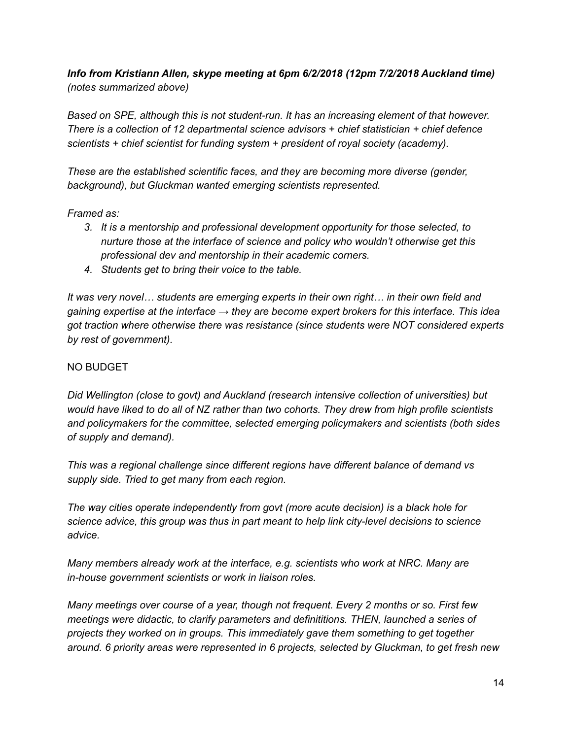# *Info from Kristiann Allen, skype meeting at 6pm 6/2/2018 (12pm 7/2/2018 Auckland time) (notes summarized above)*

*Based on SPE, although this is not student-run. It has an increasing element of that however. There is a collection of 12 departmental science advisors + chief statistician + chief defence scientists + chief scientist for funding system + president of royal society (academy).*

*These are the established scientific faces, and they are becoming more diverse (gender, background), but Gluckman wanted emerging scientists represented.*

### *Framed as:*

- *3. It is a mentorship and professional development opportunity for those selected, to nurture those at the interface of science and policy who wouldn't otherwise get this professional dev and mentorship in their academic corners.*
- *4. Students get to bring their voice to the table.*

*It was very novel… students are emerging experts in their own right… in their own field and gaining expertise at the interface → they are become expert brokers for this interface. This idea got traction where otherwise there was resistance (since students were NOT considered experts by rest of government).*

### NO BUDGET

*Did Wellington (close to govt) and Auckland (research intensive collection of universities) but would have liked to do all of NZ rather than two cohorts. They drew from high profile scientists and policymakers for the committee, selected emerging policymakers and scientists (both sides of supply and demand).*

*This was a regional challenge since different regions have different balance of demand vs supply side. Tried to get many from each region.*

*The way cities operate independently from govt (more acute decision) is a black hole for science advice, this group was thus in part meant to help link city-level decisions to science advice.*

*Many members already work at the interface, e.g. scientists who work at NRC. Many are in-house government scientists or work in liaison roles.*

*Many meetings over course of a year, though not frequent. Every 2 months or so. First few meetings were didactic, to clarify parameters and definititions. THEN, launched a series of projects they worked on in groups. This immediately gave them something to get together around. 6 priority areas were represented in 6 projects, selected by Gluckman, to get fresh new*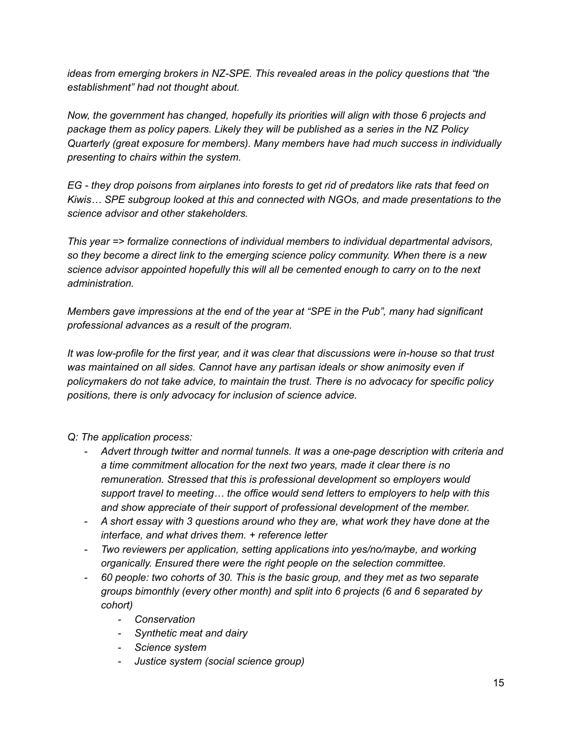*ideas from emerging brokers in NZ-SPE. This revealed areas in the policy questions that "the establishment" had not thought about.*

*Now, the government has changed, hopefully its priorities will align with those 6 projects and package them as policy papers. Likely they will be published as a series in the NZ Policy Quarterly (great exposure for members). Many members have had much success in individually presenting to chairs within the system.*

EG - they drop poisons from airplanes into forests to get rid of predators like rats that feed on *Kiwis… SPE subgroup looked at this and connected with NGOs, and made presentations to the science advisor and other stakeholders.*

*This year => formalize connections of individual members to individual departmental advisors, so they become a direct link to the emerging science policy community. When there is a new science advisor appointed hopefully this will all be cemented enough to carry on to the next administration.*

*Members gave impressions at the end of the year at "SPE in the Pub", many had significant professional advances as a result of the program.*

It was low-profile for the first year, and it was clear that discussions were in-house so that trust *was maintained on all sides. Cannot have any partisan ideals or show animosity even if policymakers do not take advice, to maintain the trust. There is no advocacy for specific policy positions, there is only advocacy for inclusion of science advice.*

# *Q: The application process:*

- *- Advert through twitter and normal tunnels. It was a one-page description with criteria and a time commitment allocation for the next two years, made it clear there is no remuneration. Stressed that this is professional development so employers would support travel to meeting… the office would send letters to employers to help with this and show appreciate of their support of professional development of the member.*
- *- A short essay with 3 questions around who they are, what work they have done at the interface, and what drives them. + reference letter*
- *- Two reviewers per application, setting applications into yes/no/maybe, and working organically. Ensured there were the right people on the selection committee.*
- *- 60 people: two cohorts of 30. This is the basic group, and they met as two separate groups bimonthly (every other month) and split into 6 projects (6 and 6 separated by cohort)*
	- *- Conservation*
	- *- Synthetic meat and dairy*
	- *- Science system*
	- *- Justice system (social science group)*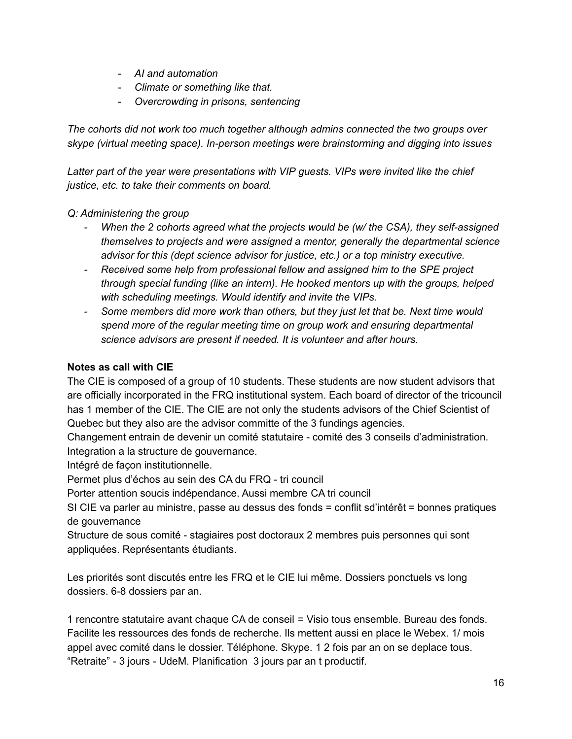- *- AI and automation*
- *- Climate or something like that.*
- *- Overcrowding in prisons, sentencing*

*The cohorts did not work too much together although admins connected the two groups over skype (virtual meeting space). In-person meetings were brainstorming and digging into issues*

*Latter part of the year were presentations with VIP guests. VIPs were invited like the chief justice, etc. to take their comments on board.*

# *Q: Administering the group*

- *- When the 2 cohorts agreed what the projects would be (w/ the CSA), they self-assigned themselves to projects and were assigned a mentor, generally the departmental science advisor for this (dept science advisor for justice, etc.) or a top ministry executive.*
- *- Received some help from professional fellow and assigned him to the SPE project through special funding (like an intern). He hooked mentors up with the groups, helped with scheduling meetings. Would identify and invite the VIPs.*
- *- Some members did more work than others, but they just let that be. Next time would spend more of the regular meeting time on group work and ensuring departmental science advisors are present if needed. It is volunteer and after hours.*

# **Notes as call with CIE**

The CIE is composed of a group of 10 students. These students are now student advisors that are officially incorporated in the FRQ institutional system. Each board of director of the tricouncil has 1 member of the CIE. The CIE are not only the students advisors of the Chief Scientist of Quebec but they also are the advisor committe of the 3 fundings agencies.

Changement entrain de devenir un comité statutaire - comité des 3 conseils d'administration. Integration a la structure de gouvernance.

Intégré de façon institutionnelle.

Permet plus d'échos au sein des CA du FRQ - tri council

Porter attention soucis indépendance. Aussi membre CA tri council

SI CIE va parler au ministre, passe au dessus des fonds = conflit sd'intérêt = bonnes pratiques de gouvernance

Structure de sous comité - stagiaires post doctoraux 2 membres puis personnes qui sont appliquées. Représentants étudiants.

Les priorités sont discutés entre les FRQ et le CIE lui même. Dossiers ponctuels vs long dossiers. 6-8 dossiers par an.

1 rencontre statutaire avant chaque CA de conseil = Visio tous ensemble. Bureau des fonds. Facilite les ressources des fonds de recherche. Ils mettent aussi en place le Webex. 1/ mois appel avec comité dans le dossier. Téléphone. Skype. 1 2 fois par an on se deplace tous. "Retraite" - 3 jours - UdeM. Planification 3 jours par an t productif.